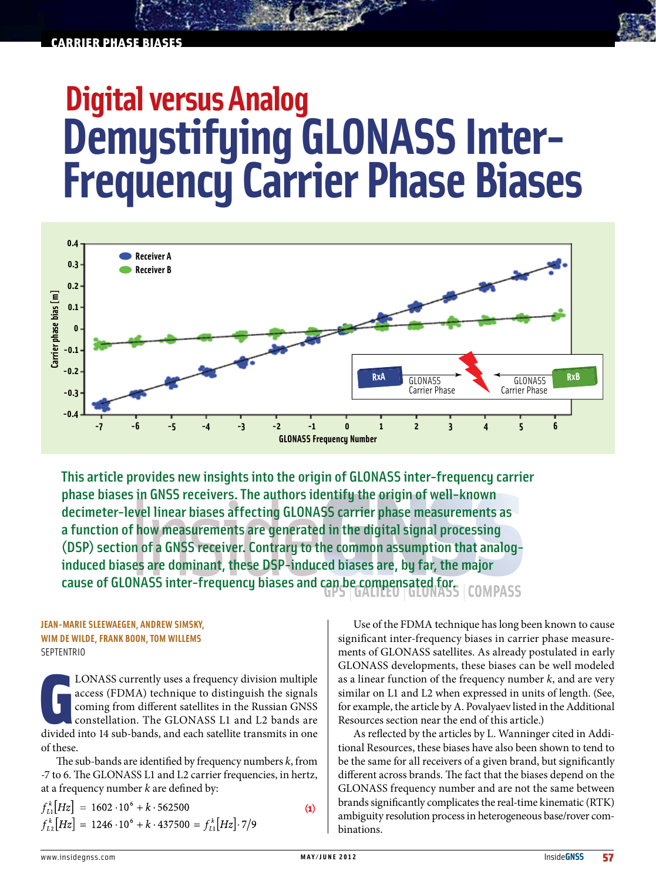## carrier phase biases

# **Digital versus Analog Demystifying GLONASS Inter-Frequency Carrier Phase Biases**



This article provides new insights into the origin of GLONASS inter-frequency carrier phase biases in GNSS receivers. The authors identify the origin of well-known decimeter-level linear biases affecting GLONASS carrier phase measurements as a function of how measurements are generated in the digital signal processing (DSP) section of a GNSS receiver. Contrary to the common assumption that analoginduced biases are dominant, these DSP-induced biases are, by far, the major cause of GLONASS inter-frequency biases and can be compensated for. **COMPASS** 

#### **Jean-Marie Sleewaegen, Andrew Simsky, Wim De Wilde, Frank Boon, Tom Willems SEPTENTRIO**

LONASS currently uses a frequency division multiple access (FDMA) technique to distinguish the signals coming from different satellites in the Russian GNSS constellation. The GLONASS L1 and L2 bands are divided into 14 sub LONASS currently uses a frequency division multiple access (FDMA) technique to distinguish the signals coming from different satellites in the Russian GNSS constellation. The GLONASS L1 and L2 bands are of these.

The sub-bands are identified by frequency numbers *k*, from -7 to 6. The GLONASS L1 and L2 carrier frequencies, in hertz, at a frequency number *k* are defined by:

 $f_{11}^k[Hz] = 1602 \cdot 10^6 + k \cdot 562500$  $\bf(1)$  $f_{12}^k[Hz] = 1246 \cdot 10^6 + k \cdot 437500 = f_{11}^k[Hz] \cdot 7/9$ 

Use of the FDMA technique has long been known to cause significant inter-frequency biases in carrier phase measurements of GLONASS satellites. As already postulated in early GLONASS developments, these biases can be well modeled as a linear function of the frequency number *k*, and are very similar on L1 and L2 when expressed in units of length. (See, for example, the article by A. Povalyaev listed in the Additional Resources section near the end of this article.)

As reflected by the articles by L. Wanninger cited in Additional Resources, these biases have also been shown to tend to be the same for all receivers of a given brand, but significantly different across brands. The fact that the biases depend on the GLONASS frequency number and are not the same between brands significantly complicates the real-time kinematic (RTK) ambiguity resolution process in heterogeneous base/rover combinations.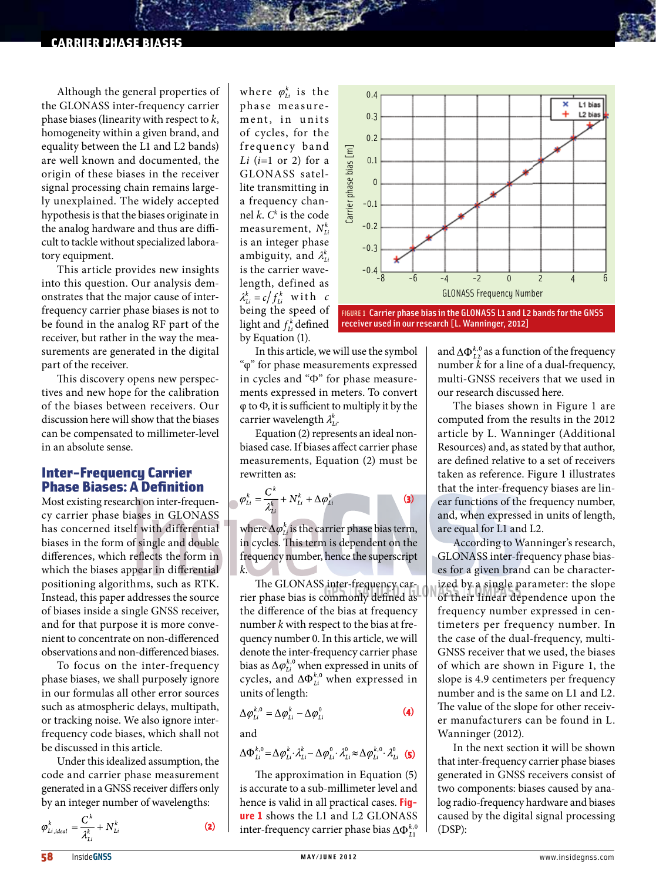## carrier phase biases

Although the general properties of the GLONASS inter-frequency carrier phase biases (linearity with respect to *k*, homogeneity within a given brand, and equality between the L1 and L2 bands) are well known and documented, the origin of these biases in the receiver signal processing chain remains largely unexplained. The widely accepted hypothesis is that the biases originate in the analog hardware and thus are difficult to tackle without specialized laboratory equipment.

This article provides new insights into this question. Our analysis demonstrates that the major cause of interfrequency carrier phase biases is not to be found in the analog RF part of the receiver, but rather in the way the measurements are generated in the digital part of the receiver.

This discovery opens new perspectives and new hope for the calibration of the biases between receivers. Our discussion here will show that the biases can be compensated to millimeter-level in an absolute sense.

# Inter-Frequency Carrier Phase Biases: A Definition

Most existing research on inter-frequency carrier phase biases in GLONASS has concerned itself with differential biases in the form of single and double differences, which reflects the form in which the biases appear in differential positioning algorithms, such as RTK. Instead, this paper addresses the source of biases inside a single GNSS receiver, and for that purpose it is more convenient to concentrate on non-differenced observations and non-differenced biases.

To focus on the inter-frequency phase biases, we shall purposely ignore in our formulas all other error sources such as atmospheric delays, multipath, or tracking noise. We also ignore interfrequency code biases, which shall not be discussed in this article.

Under this idealized assumption, the code and carrier phase measurement generated in a GNSS receiver differs only by an integer number of wavelengths:

$$
\pmb{\varphi}^k_{Li,ideal} = \frac{\pmb{C}^k}{\pmb{\lambda}^k_{Li}} + \pmb{N}^k_{Li}
$$

where  $\varphi_{Li}^k$  is the phase measure ment, in units of cycles, for the frequency band *Li* (*i*=1 or 2) for a GLONASS satellite transmitting in a frequency channel *k*. *Ck* is the code measurement,  $N_{1i}^k$ is an integer phase ambiguity, and  $\lambda_{Li}^k$ is the carrier wavelength, defined as  $\lambda_{Li}^k = c/f_{Li}^k$  with c being the speed of light and  $f_{1i}^k$  defined by Equation (1).



FIGURE 1 Carrier phase bias in the GLONASS L1 and L2 bands for the GNSS receiver used in our research [L. Wanninger, 2012]

In this article, we will use the symbol "φ" for phase measurements expressed in cycles and "Ф" for phase measurements expressed in meters. To convert φ to Ф, it is sufficient to multiply it by the carrier wavelength  $\lambda_{l,i}^{k}$ .

Equation (2) represents an ideal nonbiased case. If biases affect carrier phase measurements, Equation (2) must be rewritten as:

$$
\varphi_{Li}^k = \frac{C^k}{\lambda_{Li}^k} + N_{Li}^k + \Delta \varphi_{Li}^k \tag{3}
$$

where  $\Delta \varphi_{1i}^k$  is the carrier phase bias term, in cycles. This term is dependent on the frequency number, hence the superscript *k*.

The GLONASS inter-frequency carrier phase bias is commonly defined as the difference of the bias at frequency number *k* with respect to the bias at frequency number 0. In this article, we will denote the inter-frequency carrier phase bias as  $\Delta \varphi_{Li}^{\kappa,0}$  when expressed in units of cycles, and  $\Delta \Phi_{Li}^{k,0}$  when expressed in units of length:

$$
\Delta \varphi_{Li}^{k,0} = \Delta \varphi_{Li}^k - \Delta \varphi_{Li}^0
$$
 (4)

and

 $(2)$ 

$$
\Delta \Phi_{Li}^{k,0} = \Delta \varphi_{Li}^k \cdot \lambda_{Li}^k - \Delta \varphi_{Li}^0 \cdot \lambda_{Li}^0 \approx \Delta \varphi_{Li}^{k,0} \cdot \lambda_{Li}^0
$$
 (5)

The approximation in Equation (5) is accurate to a sub-millimeter level and hence is valid in all practical cases. **Figure 1** shows the L1 and L2 GLONASS inter-frequency carrier phase bias  $\Delta \Phi_{11}^{k,0}$  and  $\Delta \Phi_{\scriptscriptstyle{L2}}^{\scriptscriptstyle{k,0}}$  as a function of the frequency number *k* for a line of a dual-frequency, multi-GNSS receivers that we used in our research discussed here.

The biases shown in Figure 1 are computed from the results in the 2012 article by L. Wanninger (Additional Resources) and, as stated by that author, are defined relative to a set of receivers taken as reference. Figure 1 illustrates that the inter-frequency biases are linear functions of the frequency number, and, when expressed in units of length, are equal for L1 and L2.

According to Wanninger's research, GLONASS inter-frequency phase biases for a given brand can be characterized by a single parameter: the slope of their linear dependence upon the frequency number expressed in centimeters per frequency number. In the case of the dual-frequency, multi-GNSS receiver that we used, the biases of which are shown in Figure 1, the slope is 4.9 centimeters per frequency number and is the same on L1 and L2. The value of the slope for other receiver manufacturers can be found in L. Wanninger (2012).

In the next section it will be shown that inter-frequency carrier phase biases generated in GNSS receivers consist of two components: biases caused by analog radio-frequency hardware and biases caused by the digital signal processing (DSP):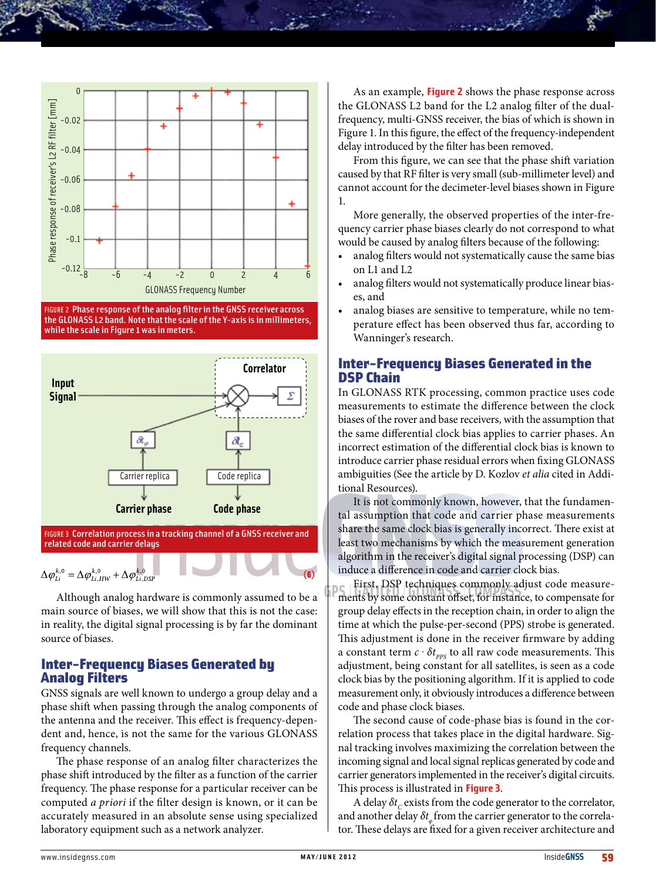

FIGURE 2 Phase response of the analog filter in the GNSS receiver across the GLONASS L2 band. Note that the scale of the Y-axis is in millimeters, while the scale in Figure 1 was in meters.



FIGURE 3 Correlation process in a tracking channel of a GNSS receiver and related code and carrier delays

> ٠ ٠

$$
\Delta \varphi_{Li}^{k,0} = \Delta \varphi_{Li,HW}^{k,0} + \Delta \varphi_{Li,DSP}^{k,0}
$$

Although analog hardware is commonly assumed to be a main source of biases, we will show that this is not the case: in reality, the digital signal processing is by far the dominant source of biases.

# Inter-Frequency Biases Generated by Analog Filters

GNSS signals are well known to undergo a group delay and a phase shift when passing through the analog components of the antenna and the receiver. This effect is frequency-dependent and, hence, is not the same for the various GLONASS frequency channels.

The phase response of an analog filter characterizes the phase shift introduced by the filter as a function of the carrier frequency. The phase response for a particular receiver can be computed *a priori* if the filter design is known, or it can be accurately measured in an absolute sense using specialized laboratory equipment such as a network analyzer.

As an example, **Figure 2** shows the phase response across the GLONASS L2 band for the L2 analog filter of the dualfrequency, multi-GNSS receiver, the bias of which is shown in Figure 1. In this figure, the effect of the frequency-independent delay introduced by the filter has been removed.

From this figure, we can see that the phase shift variation caused by that RF filter is very small (sub-millimeter level) and cannot account for the decimeter-level biases shown in Figure 1.

More generally, the observed properties of the inter-frequency carrier phase biases clearly do not correspond to what would be caused by analog filters because of the following:

- analog filters would not systematically cause the same bias on L1 and L2
- analog filters would not systematically produce linear biases, and
- analog biases are sensitive to temperature, while no temperature effect has been observed thus far, according to Wanninger's research.

# Inter-Frequency Biases Generated in the DSP Chain

In GLONASS RTK processing, common practice uses code measurements to estimate the difference between the clock biases of the rover and base receivers, with the assumption that the same differential clock bias applies to carrier phases. An incorrect estimation of the differential clock bias is known to introduce carrier phase residual errors when fixing GLONASS ambiguities (See the article by D. Kozlov *et alia* cited in Additional Resources).

It is not commonly known, however, that the fundamental assumption that code and carrier phase measurements share the same clock bias is generally incorrect. There exist at least two mechanisms by which the measurement generation algorithm in the receiver's digital signal processing (DSP) can induce a difference in code and carrier clock bias.

First, DSP techniques commonly adjust code measurements by some constant offset, for instance, to compensate for group delay effects in the reception chain, in order to align the time at which the pulse-per-second (PPS) strobe is generated. This adjustment is done in the receiver firmware by adding a constant term  $c \cdot \delta t_{\text{PPS}}$  to all raw code measurements. This adjustment, being constant for all satellites, is seen as a code clock bias by the positioning algorithm. If it is applied to code measurement only, it obviously introduces a difference between code and phase clock biases.

The second cause of code-phase bias is found in the correlation process that takes place in the digital hardware. Signal tracking involves maximizing the correlation between the incoming signal and local signal replicas generated by code and carrier generators implemented in the receiver's digital circuits. This process is illustrated in **Figure 3**.

A delay *δt<sub>c</sub>* exists from the code generator to the correlator, and another delay  $δt<sub>n</sub>$  from the carrier generator to the correlator. These delays are fixed for a given receiver architecture and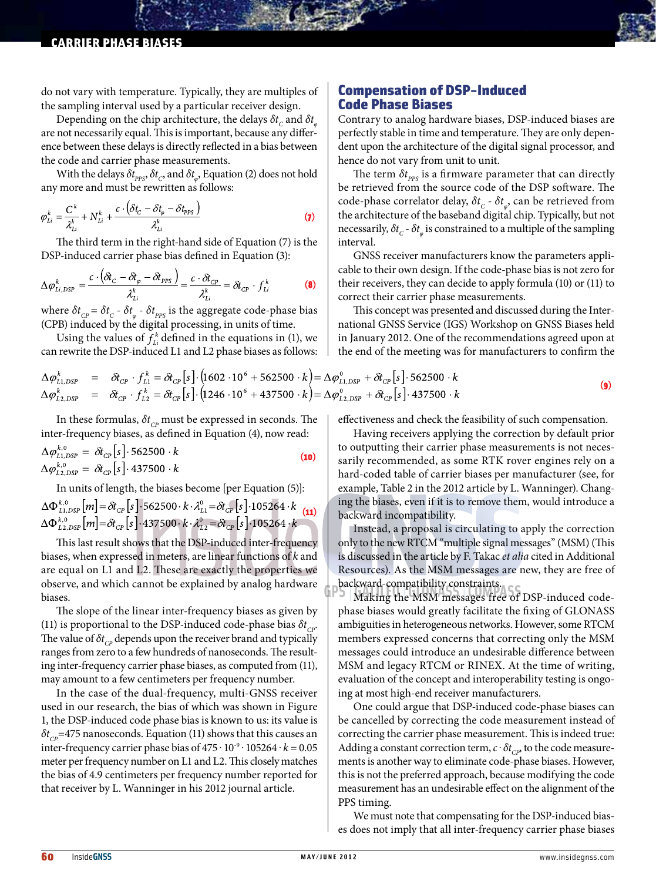#### carrier phase biases

do not vary with temperature. Typically, they are multiples of the sampling interval used by a particular receiver design.

Depending on the chip architecture, the delays  $\delta t_c$  and  $\delta t_a$ are not necessarily equal. This is important, because any difference between these delays is directly reflected in a bias between the code and carrier phase measurements.

With the delays  $\delta t_{\text{pps}}$ ,  $\delta t_c$ , and  $\delta t_a$ , Equation (2) does not hold any more and must be rewritten as follows:

$$
\varphi_{Li}^k = \frac{C^k}{\lambda_{Li}^k} + N_{Li}^k + \frac{c \cdot (\delta t_C - \delta t_{\varphi} - \delta t_{\text{PPS}})}{\lambda_{Li}^k}
$$
\n(7)

The third term in the right-hand side of Equation (7) is the DSP-induced carrier phase bias defined in Equation (3):

$$
\Delta \varphi_{Li,DSP}^k = \frac{c \cdot (\delta t_C - \delta t_{\varphi} - \delta t_{PPS})}{\lambda_{Li}^k} = \frac{c \cdot \delta t_{CP}}{\lambda_{Li}^k} = \delta t_{CP} \cdot f_{Li}^k \tag{8}
$$

where  $\delta t_{\text{CP}} = \delta t_{\text{C}}$  -  $\delta t_{\text{p}}$  -  $\delta t_{\text{pPS}}$  is the aggregate code-phase bias (CPB) induced by the digital processing, in units of time.

Using the values of  $f_{i,j}^k$  defined in the equations in (1), we can rewrite the DSP-induced L1 and L2 phase biases as follows:

$$
\Delta \varphi_{L1,DSP}^{k} = \delta t_{CP} \cdot f_{L1}^{k} = \delta t_{CP} [s] \cdot (1602 \cdot 10^{6} + 562500 \cdot k) = \Delta \varphi_{L1,DSP}^{0} + \delta t_{CP} [s] \cdot 562500 \cdot k \n\Delta \varphi_{L2,DSP}^{k} = \delta t_{CP} \cdot f_{L2}^{k} = \delta t_{CP} [s] \cdot (1246 \cdot 10^{6} + 437500 \cdot k) = \Delta \varphi_{L2,DSP}^{0} + \delta t_{CP} [s] \cdot 437500 \cdot k
$$
\n(9)

In these formulas,  $\delta t_{\text{CP}}$  must be expressed in seconds. The inter-frequency biases, as defined in Equation (4), now read:

$$
\Delta \varphi_{L1,DSP}^{k,0} = \delta t_{CP} [s] \cdot 562500 \cdot k
$$
  
\n
$$
\Delta \varphi_{L2,DSP}^{k,0} = \delta t_{CP} [s] \cdot 437500 \cdot k
$$
 (10)

In units of length, the biases become [per Equation (5)]:  $\Delta\Phi_{L1,DSP}^{k,0}[m] = \delta t_{CP} [s] \cdot 562500 \cdot k \cdot \lambda_{L1}^0 = \delta t_{CP} [s] \cdot 105264 \cdot k$  (11)<br>  $\Delta\Phi_{L2,DSP}^{k,0}[m] = \delta t_{CP} [s] \cdot 437500 \cdot k \cdot \lambda_{L2}^0 = \delta t_{CP} [s] \cdot 105264 \cdot k$ 

This last result shows that the DSP-induced inter-frequency biases, when expressed in meters, are linear functions of *k* and are equal on L1 and L2. These are exactly the properties we observe, and which cannot be explained by analog hardware biases.

The slope of the linear inter-frequency biases as given by (11) is proportional to the DSP-induced code-phase bias  $\delta t_{CP}$ . The value of  $\delta t_{\rm CP}$  depends upon the receiver brand and typically ranges from zero to a few hundreds of nanoseconds. The resulting inter-frequency carrier phase biases, as computed from (11), may amount to a few centimeters per frequency number.

In the case of the dual-frequency, multi-GNSS receiver used in our research, the bias of which was shown in Figure 1, the DSP-induced code phase bias is known to us: its value is  $\delta t_{CP}$ =475 nanoseconds. Equation (11) shows that this causes an inter-frequency carrier phase bias of  $475 \cdot 10^{-9} \cdot 105264 \cdot k = 0.05$ meter per frequency number on L1 and L2. This closely matches the bias of 4.9 centimeters per frequency number reported for that receiver by L. Wanninger in his 2012 journal article.

## Compensation of DSP-Induced Code Phase Biases

Contrary to analog hardware biases, DSP-induced biases are perfectly stable in time and temperature. They are only dependent upon the architecture of the digital signal processor, and hence do not vary from unit to unit.

The term  $\delta t_{\text{pps}}$  is a firmware parameter that can directly be retrieved from the source code of the DSP software. The code-phase correlator delay,  $\delta t_c$  -  $\delta t_a$ , can be retrieved from the architecture of the baseband digital chip. Typically, but not necessarily,  $\delta t_c$  -  $\delta t_{\varphi}$  is constrained to a multiple of the sampling interval.

GNSS receiver manufacturers know the parameters applicable to their own design. If the code-phase bias is not zero for their receivers, they can decide to apply formula (10) or (11) to correct their carrier phase measurements.

This concept was presented and discussed during the International GNSS Service (IGS) Workshop on GNSS Biases held in January 2012. One of the recommendations agreed upon at the end of the meeting was for manufacturers to confirm the

effectiveness and check the feasibility of such compensation.

Having receivers applying the correction by default prior to outputting their carrier phase measurements is not necessarily recommended, as some RTK rover engines rely on a hard-coded table of carrier biases per manufacturer (see, for example, Table 2 in the 2012 article by L. Wanninger). Changing the biases, even if it is to remove them, would introduce a backward incompatibility.

Instead, a proposal is circulating to apply the correction only to the new RTCM "multiple signal messages" (MSM) (This is discussed in the article by F. Takac *et alia* cited in Additional Resources). As the MSM messages are new, they are free of backward-compatibility constraints.

Making the MSM messages free of DSP-induced codephase biases would greatly facilitate the fixing of GLONASS ambiguities in heterogeneous networks. However, some RTCM members expressed concerns that correcting only the MSM messages could introduce an undesirable difference between MSM and legacy RTCM or RINEX. At the time of writing, evaluation of the concept and interoperability testing is ongoing at most high-end receiver manufacturers.

One could argue that DSP-induced code-phase biases can be cancelled by correcting the code measurement instead of correcting the carrier phase measurement. This is indeed true: Adding a constant correction term,  $c \cdot \delta t_{\text{CP}}$ , to the code measurements is another way to eliminate code-phase biases. However, this is not the preferred approach, because modifying the code measurement has an undesirable effect on the alignment of the PPS timing.

We must note that compensating for the DSP-induced biases does not imply that all inter-frequency carrier phase biases